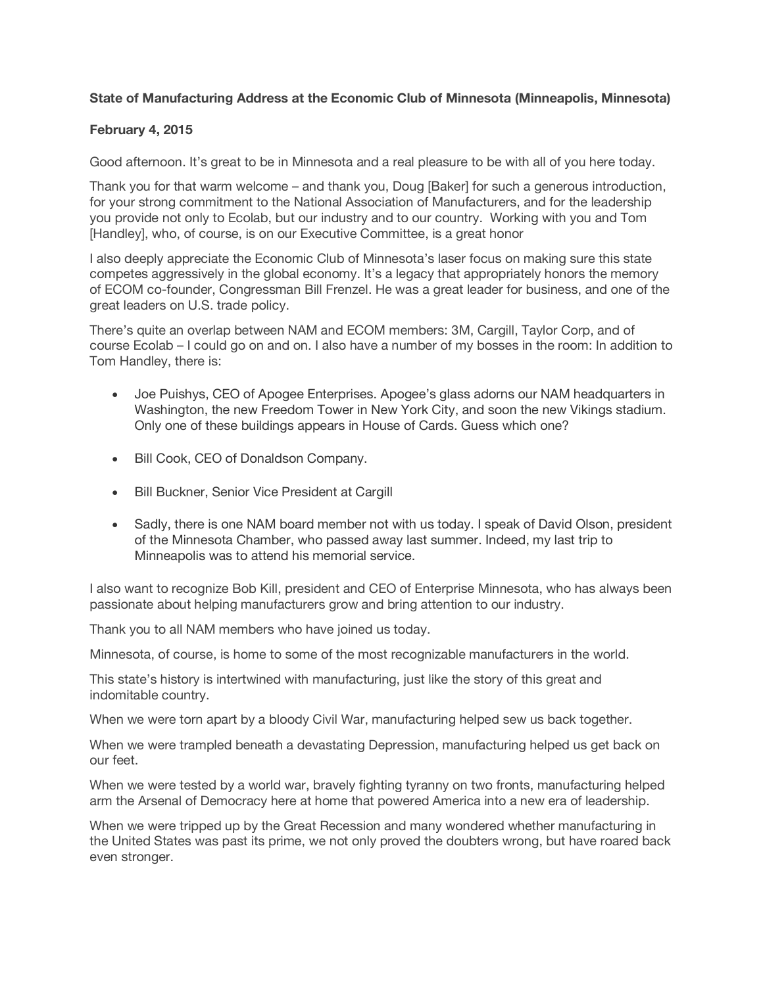## **State of Manufacturing Address at the Economic Club of Minnesota (Minneapolis, Minnesota)**

## **February 4, 2015**

Good afternoon. It's great to be in Minnesota and a real pleasure to be with all of you here today.

Thank you for that warm welcome – and thank you, Doug [Baker] for such a generous introduction, for your strong commitment to the National Association of Manufacturers, and for the leadership you provide not only to Ecolab, but our industry and to our country. Working with you and Tom [Handley], who, of course, is on our Executive Committee, is a great honor

I also deeply appreciate the Economic Club of Minnesota's laser focus on making sure this state competes aggressively in the global economy. It's a legacy that appropriately honors the memory of ECOM co-founder, Congressman Bill Frenzel. He was a great leader for business, and one of the great leaders on U.S. trade policy.

There's quite an overlap between NAM and ECOM members: 3M, Cargill, Taylor Corp, and of course Ecolab – I could go on and on. I also have a number of my bosses in the room: In addition to Tom Handley, there is:

- Joe Puishys, CEO of Apogee Enterprises. Apogee's glass adorns our NAM headquarters in Washington, the new Freedom Tower in New York City, and soon the new Vikings stadium. Only one of these buildings appears in House of Cards. Guess which one?
- Bill Cook, CEO of Donaldson Company.
- Bill Buckner, Senior Vice President at Cargill
- Sadly, there is one NAM board member not with us today. I speak of David Olson, president of the Minnesota Chamber, who passed away last summer. Indeed, my last trip to Minneapolis was to attend his memorial service.

I also want to recognize Bob Kill, president and CEO of Enterprise Minnesota, who has always been passionate about helping manufacturers grow and bring attention to our industry.

Thank you to all NAM members who have joined us today.

Minnesota, of course, is home to some of the most recognizable manufacturers in the world.

This state's history is intertwined with manufacturing, just like the story of this great and indomitable country.

When we were torn apart by a bloody Civil War, manufacturing helped sew us back together.

When we were trampled beneath a devastating Depression, manufacturing helped us get back on our feet.

When we were tested by a world war, bravely fighting tyranny on two fronts, manufacturing helped arm the Arsenal of Democracy here at home that powered America into a new era of leadership.

When we were tripped up by the Great Recession and many wondered whether manufacturing in the United States was past its prime, we not only proved the doubters wrong, but have roared back even stronger.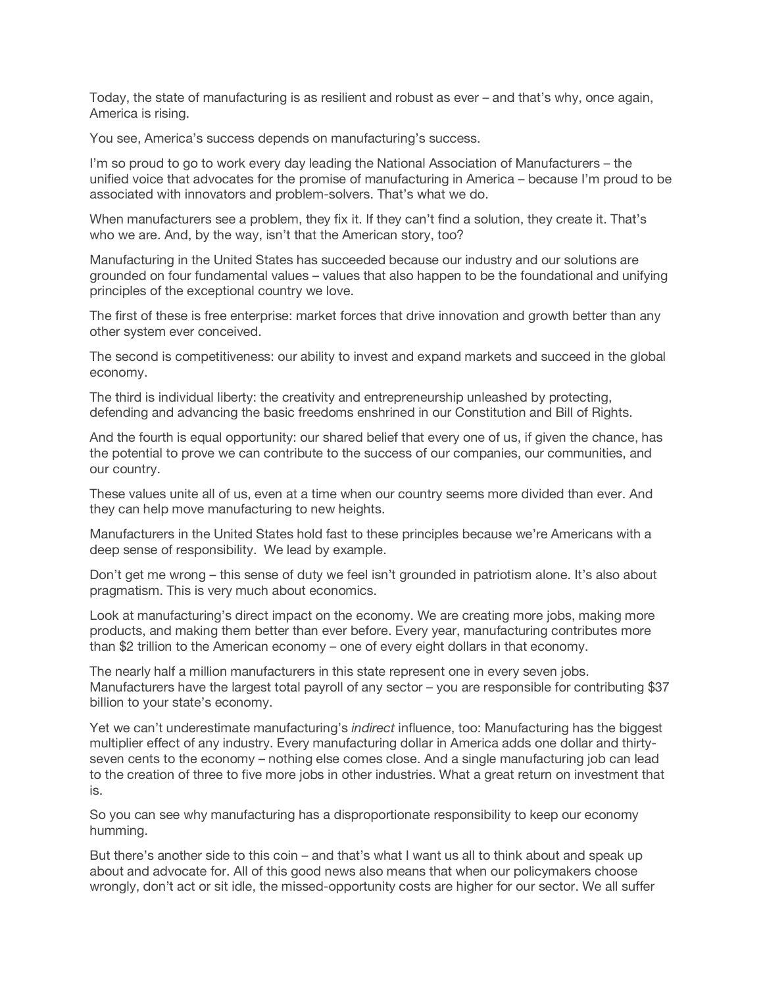Today, the state of manufacturing is as resilient and robust as ever – and that's why, once again, America is rising.

You see, America's success depends on manufacturing's success.

I'm so proud to go to work every day leading the National Association of Manufacturers – the unified voice that advocates for the promise of manufacturing in America – because I'm proud to be associated with innovators and problem-solvers. That's what we do.

When manufacturers see a problem, they fix it. If they can't find a solution, they create it. That's who we are. And, by the way, isn't that the American story, too?

Manufacturing in the United States has succeeded because our industry and our solutions are grounded on four fundamental values – values that also happen to be the foundational and unifying principles of the exceptional country we love.

The first of these is free enterprise: market forces that drive innovation and growth better than any other system ever conceived.

The second is competitiveness: our ability to invest and expand markets and succeed in the global economy.

The third is individual liberty: the creativity and entrepreneurship unleashed by protecting, defending and advancing the basic freedoms enshrined in our Constitution and Bill of Rights.

And the fourth is equal opportunity: our shared belief that every one of us, if given the chance, has the potential to prove we can contribute to the success of our companies, our communities, and our country.

These values unite all of us, even at a time when our country seems more divided than ever. And they can help move manufacturing to new heights.

Manufacturers in the United States hold fast to these principles because we're Americans with a deep sense of responsibility. We lead by example.

Don't get me wrong – this sense of duty we feel isn't grounded in patriotism alone. It's also about pragmatism. This is very much about economics.

Look at manufacturing's direct impact on the economy. We are creating more jobs, making more products, and making them better than ever before. Every year, manufacturing contributes more than \$2 trillion to the American economy – one of every eight dollars in that economy.

The nearly half a million manufacturers in this state represent one in every seven jobs. Manufacturers have the largest total payroll of any sector – you are responsible for contributing \$37 billion to your state's economy.

Yet we can't underestimate manufacturing's *indirect* influence, too: Manufacturing has the biggest multiplier effect of any industry. Every manufacturing dollar in America adds one dollar and thirtyseven cents to the economy – nothing else comes close. And a single manufacturing job can lead to the creation of three to five more jobs in other industries. What a great return on investment that is.

So you can see why manufacturing has a disproportionate responsibility to keep our economy humming.

But there's another side to this coin – and that's what I want us all to think about and speak up about and advocate for. All of this good news also means that when our policymakers choose wrongly, don't act or sit idle, the missed-opportunity costs are higher for our sector. We all suffer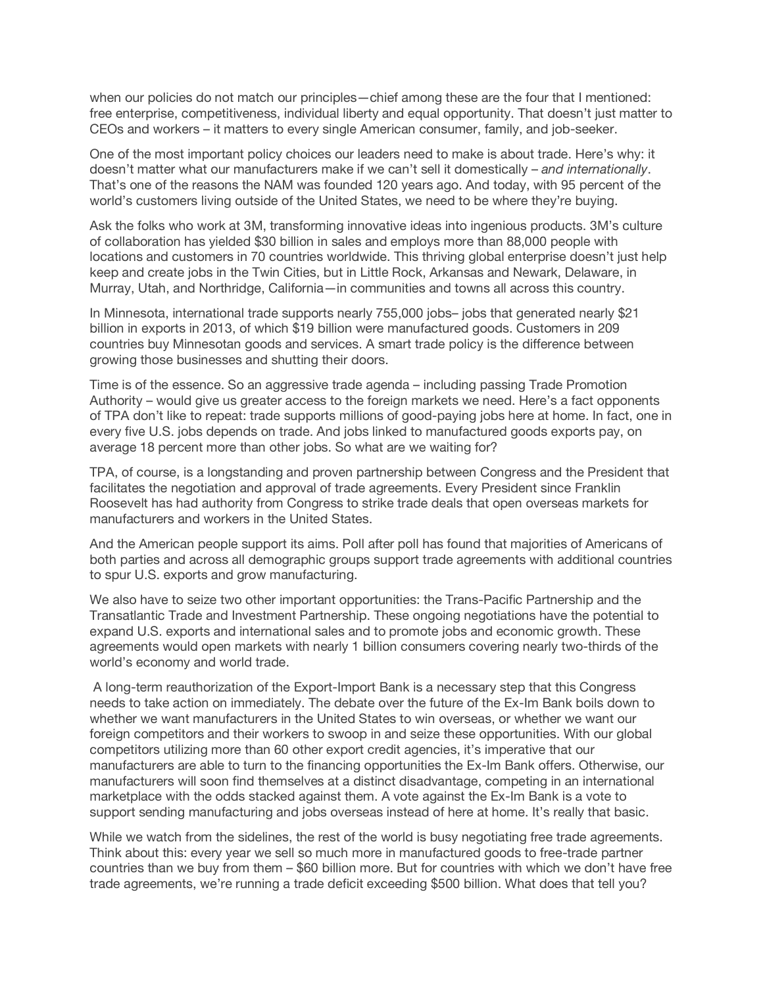when our policies do not match our principles—chief among these are the four that I mentioned: free enterprise, competitiveness, individual liberty and equal opportunity. That doesn't just matter to CEOs and workers – it matters to every single American consumer, family, and job-seeker.

One of the most important policy choices our leaders need to make is about trade. Here's why: it doesn't matter what our manufacturers make if we can't sell it domestically – *and internationally*. That's one of the reasons the NAM was founded 120 years ago. And today, with 95 percent of the world's customers living outside of the United States, we need to be where they're buying.

Ask the folks who work at 3M, transforming innovative ideas into ingenious products. 3M's culture of collaboration has yielded \$30 billion in sales and employs more than 88,000 people with locations and customers in 70 countries worldwide. This thriving global enterprise doesn't just help keep and create jobs in the Twin Cities, but in Little Rock, Arkansas and Newark, Delaware, in Murray, Utah, and Northridge, California—in communities and towns all across this country.

In Minnesota, international trade supports nearly 755,000 jobs– jobs that generated nearly \$21 billion in exports in 2013, of which \$19 billion were manufactured goods. Customers in 209 countries buy Minnesotan goods and services. A smart trade policy is the difference between growing those businesses and shutting their doors.

Time is of the essence. So an aggressive trade agenda – including passing Trade Promotion Authority – would give us greater access to the foreign markets we need. Here's a fact opponents of TPA don't like to repeat: trade supports millions of good-paying jobs here at home. In fact, one in every five U.S. jobs depends on trade. And jobs linked to manufactured goods exports pay, on average 18 percent more than other jobs. So what are we waiting for?

TPA, of course, is a longstanding and proven partnership between Congress and the President that facilitates the negotiation and approval of trade agreements. Every President since Franklin Roosevelt has had authority from Congress to strike trade deals that open overseas markets for manufacturers and workers in the United States.

And the American people support its aims. Poll after poll has found that majorities of Americans of both parties and across all demographic groups support trade agreements with additional countries to spur U.S. exports and grow manufacturing.

We also have to seize two other important opportunities: the Trans-Pacific Partnership and the Transatlantic Trade and Investment Partnership. These ongoing negotiations have the potential to expand U.S. exports and international sales and to promote jobs and economic growth. These agreements would open markets with nearly 1 billion consumers covering nearly two-thirds of the world's economy and world trade.

A long-term reauthorization of the Export-Import Bank is a necessary step that this Congress needs to take action on immediately. The debate over the future of the Ex-Im Bank boils down to whether we want manufacturers in the United States to win overseas, or whether we want our foreign competitors and their workers to swoop in and seize these opportunities. With our global competitors utilizing more than 60 other export credit agencies, it's imperative that our manufacturers are able to turn to the financing opportunities the Ex-Im Bank offers. Otherwise, our manufacturers will soon find themselves at a distinct disadvantage, competing in an international marketplace with the odds stacked against them. A vote against the Ex-Im Bank is a vote to support sending manufacturing and jobs overseas instead of here at home. It's really that basic.

While we watch from the sidelines, the rest of the world is busy negotiating free trade agreements. Think about this: every year we sell so much more in manufactured goods to free-trade partner countries than we buy from them – \$60 billion more. But for countries with which we don't have free trade agreements, we're running a trade deficit exceeding \$500 billion. What does that tell you?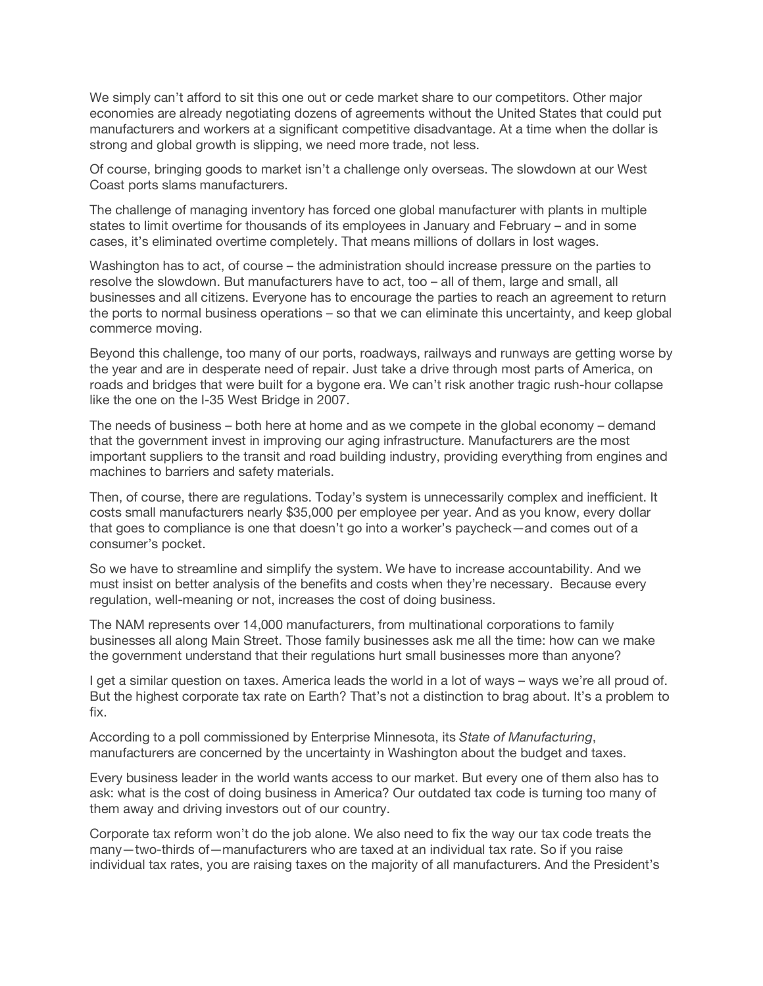We simply can't afford to sit this one out or cede market share to our competitors. Other major economies are already negotiating dozens of agreements without the United States that could put manufacturers and workers at a significant competitive disadvantage. At a time when the dollar is strong and global growth is slipping, we need more trade, not less.

Of course, bringing goods to market isn't a challenge only overseas. The slowdown at our West Coast ports slams manufacturers.

The challenge of managing inventory has forced one global manufacturer with plants in multiple states to limit overtime for thousands of its employees in January and February – and in some cases, it's eliminated overtime completely. That means millions of dollars in lost wages.

Washington has to act, of course – the administration should increase pressure on the parties to resolve the slowdown. But manufacturers have to act, too – all of them, large and small, all businesses and all citizens. Everyone has to encourage the parties to reach an agreement to return the ports to normal business operations – so that we can eliminate this uncertainty, and keep global commerce moving.

Beyond this challenge, too many of our ports, roadways, railways and runways are getting worse by the year and are in desperate need of repair. Just take a drive through most parts of America, on roads and bridges that were built for a bygone era. We can't risk another tragic rush-hour collapse like the one on the I-35 West Bridge in 2007.

The needs of business – both here at home and as we compete in the global economy – demand that the government invest in improving our aging infrastructure. Manufacturers are the most important suppliers to the transit and road building industry, providing everything from engines and machines to barriers and safety materials.

Then, of course, there are regulations. Today's system is unnecessarily complex and inefficient. It costs small manufacturers nearly \$35,000 per employee per year. And as you know, every dollar that goes to compliance is one that doesn't go into a worker's paycheck—and comes out of a consumer's pocket.

So we have to streamline and simplify the system. We have to increase accountability. And we must insist on better analysis of the benefits and costs when they're necessary. Because every regulation, well-meaning or not, increases the cost of doing business.

The NAM represents over 14,000 manufacturers, from multinational corporations to family businesses all along Main Street. Those family businesses ask me all the time: how can we make the government understand that their regulations hurt small businesses more than anyone?

I get a similar question on taxes. America leads the world in a lot of ways – ways we're all proud of. But the highest corporate tax rate on Earth? That's not a distinction to brag about. It's a problem to fix.

According to a poll commissioned by Enterprise Minnesota, its *State of Manufacturing*, manufacturers are concerned by the uncertainty in Washington about the budget and taxes.

Every business leader in the world wants access to our market. But every one of them also has to ask: what is the cost of doing business in America? Our outdated tax code is turning too many of them away and driving investors out of our country.

Corporate tax reform won't do the job alone. We also need to fix the way our tax code treats the many—two-thirds of—manufacturers who are taxed at an individual tax rate. So if you raise individual tax rates, you are raising taxes on the majority of all manufacturers. And the President's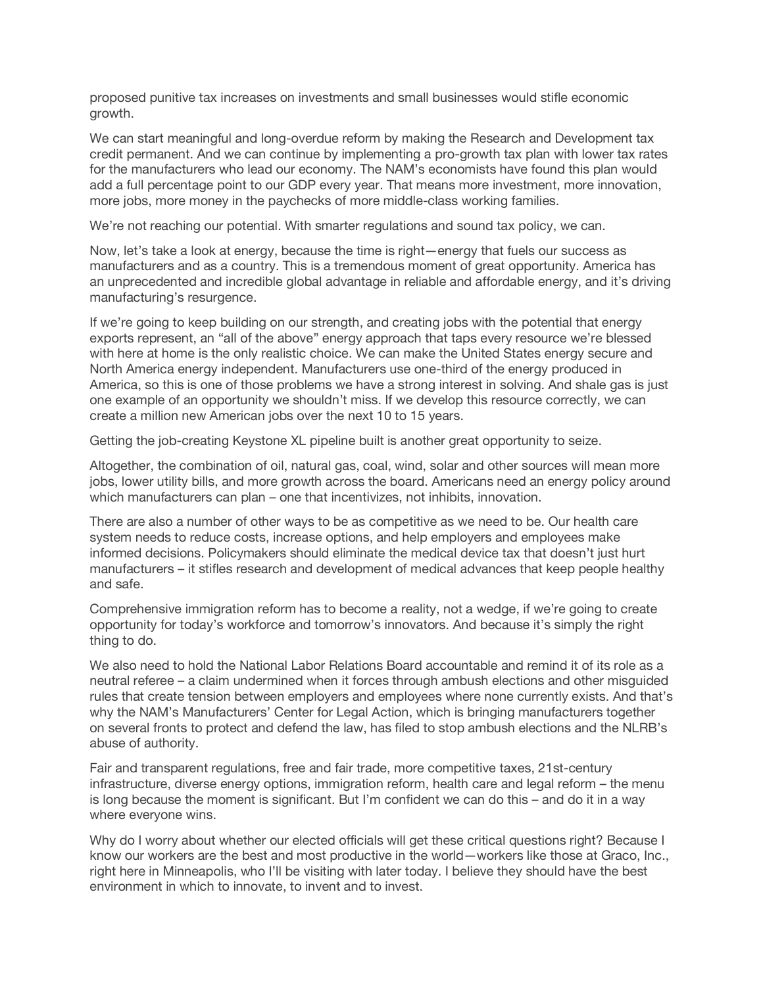proposed punitive tax increases on investments and small businesses would stifle economic growth.

We can start meaningful and long-overdue reform by making the Research and Development tax credit permanent. And we can continue by implementing a pro-growth tax plan with lower tax rates for the manufacturers who lead our economy. The NAM's economists have found this plan would add a full percentage point to our GDP every year. That means more investment, more innovation, more jobs, more money in the paychecks of more middle-class working families.

We're not reaching our potential. With smarter regulations and sound tax policy, we can.

Now, let's take a look at energy, because the time is right—energy that fuels our success as manufacturers and as a country. This is a tremendous moment of great opportunity. America has an unprecedented and incredible global advantage in reliable and affordable energy, and it's driving manufacturing's resurgence.

If we're going to keep building on our strength, and creating jobs with the potential that energy exports represent, an "all of the above" energy approach that taps every resource we're blessed with here at home is the only realistic choice. We can make the United States energy secure and North America energy independent. Manufacturers use one-third of the energy produced in America, so this is one of those problems we have a strong interest in solving. And shale gas is just one example of an opportunity we shouldn't miss. If we develop this resource correctly, we can create a million new American jobs over the next 10 to 15 years.

Getting the job-creating Keystone XL pipeline built is another great opportunity to seize.

Altogether, the combination of oil, natural gas, coal, wind, solar and other sources will mean more jobs, lower utility bills, and more growth across the board. Americans need an energy policy around which manufacturers can plan – one that incentivizes, not inhibits, innovation.

There are also a number of other ways to be as competitive as we need to be. Our health care system needs to reduce costs, increase options, and help employers and employees make informed decisions. Policymakers should eliminate the medical device tax that doesn't just hurt manufacturers – it stifles research and development of medical advances that keep people healthy and safe.

Comprehensive immigration reform has to become a reality, not a wedge, if we're going to create opportunity for today's workforce and tomorrow's innovators. And because it's simply the right thing to do.

We also need to hold the National Labor Relations Board accountable and remind it of its role as a neutral referee – a claim undermined when it forces through ambush elections and other misguided rules that create tension between employers and employees where none currently exists. And that's why the NAM's Manufacturers' Center for Legal Action, which is bringing manufacturers together on several fronts to protect and defend the law, has filed to stop ambush elections and the NLRB's abuse of authority.

Fair and transparent regulations, free and fair trade, more competitive taxes, 21st-century infrastructure, diverse energy options, immigration reform, health care and legal reform – the menu is long because the moment is significant. But I'm confident we can do this – and do it in a way where everyone wins.

Why do I worry about whether our elected officials will get these critical questions right? Because I know our workers are the best and most productive in the world—workers like those at Graco, Inc., right here in Minneapolis, who I'll be visiting with later today. I believe they should have the best environment in which to innovate, to invent and to invest.